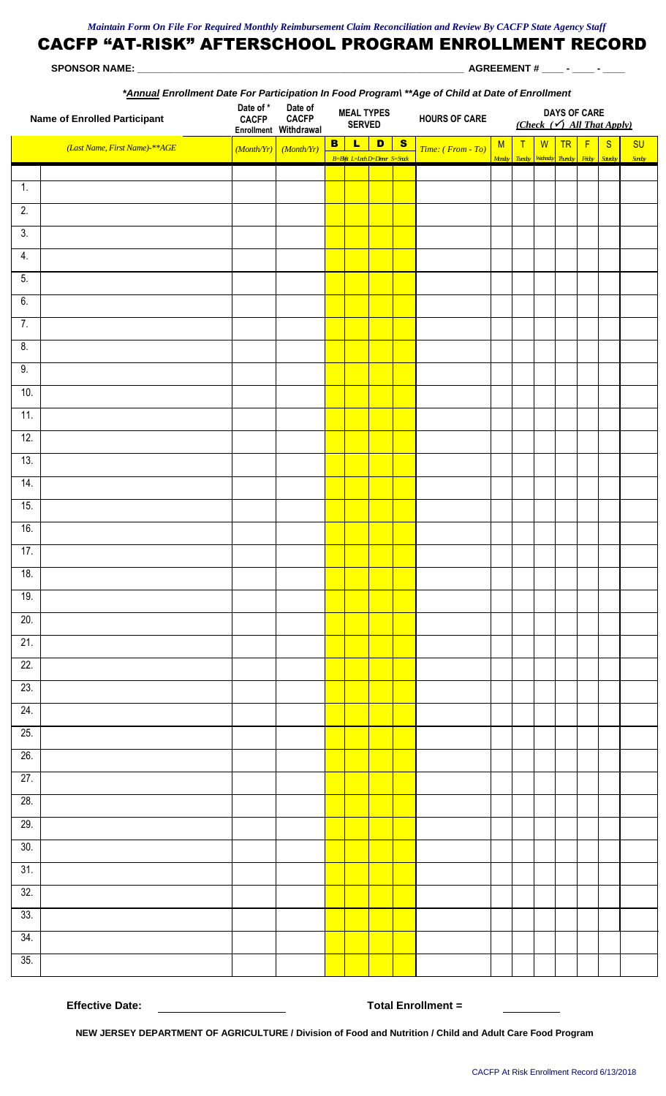| *Annual Enrollment Date For Participation In Food Program\**Age of Child at Date of Enrollment |                               |                           |                                                  |                                    |                                  |  |              |                      |   |                                                              |  |            |  |                                                      |                           |
|------------------------------------------------------------------------------------------------|-------------------------------|---------------------------|--------------------------------------------------|------------------------------------|----------------------------------|--|--------------|----------------------|---|--------------------------------------------------------------|--|------------|--|------------------------------------------------------|---------------------------|
| <b>Name of Enrolled Participant</b>                                                            |                               | Date of *<br><b>CACFP</b> | Date of<br><b>CACFP</b><br>Enrollment Withdrawal | <b>MEAL TYPES</b><br><b>SERVED</b> |                                  |  |              | <b>HOURS OF CARE</b> |   | <b>DAYS OF CARE</b><br>(Check $(\checkmark)$ All That Apply) |  |            |  |                                                      |                           |
|                                                                                                | (Last Name, First Name)-**AGE |                           | $(Month/Yr)$ $(Month/Yr)$                        | B                                  | LD<br>B=Bfg L=Inh D=Diner S=Stak |  | $\mathbf{s}$ | Time: (From - To)    | M | T                                                            |  | $W$ TR $F$ |  | S<br>Merety Tiesety Watesety Thosety Friely Saturday | <b>SU</b><br><b>Sindy</b> |
|                                                                                                |                               |                           |                                                  |                                    |                                  |  |              |                      |   |                                                              |  |            |  |                                                      |                           |
| $\overline{1}$ .<br>$\overline{2}$ .                                                           |                               |                           |                                                  |                                    |                                  |  |              |                      |   |                                                              |  |            |  |                                                      |                           |
|                                                                                                |                               |                           |                                                  |                                    |                                  |  |              |                      |   |                                                              |  |            |  |                                                      |                           |
| 3.                                                                                             |                               |                           |                                                  |                                    |                                  |  |              |                      |   |                                                              |  |            |  |                                                      |                           |
| 4.                                                                                             |                               |                           |                                                  |                                    |                                  |  |              |                      |   |                                                              |  |            |  |                                                      |                           |
| 5.<br>6.                                                                                       |                               |                           |                                                  |                                    |                                  |  |              |                      |   |                                                              |  |            |  |                                                      |                           |
| 7.                                                                                             |                               |                           |                                                  |                                    |                                  |  |              |                      |   |                                                              |  |            |  |                                                      |                           |
| 8.                                                                                             |                               |                           |                                                  |                                    |                                  |  |              |                      |   |                                                              |  |            |  |                                                      |                           |
| 9.                                                                                             |                               |                           |                                                  |                                    |                                  |  |              |                      |   |                                                              |  |            |  |                                                      |                           |
| 10.                                                                                            |                               |                           |                                                  |                                    |                                  |  |              |                      |   |                                                              |  |            |  |                                                      |                           |
| 11.                                                                                            |                               |                           |                                                  |                                    |                                  |  |              |                      |   |                                                              |  |            |  |                                                      |                           |
| 12.                                                                                            |                               |                           |                                                  |                                    |                                  |  |              |                      |   |                                                              |  |            |  |                                                      |                           |
| 13.                                                                                            |                               |                           |                                                  |                                    |                                  |  |              |                      |   |                                                              |  |            |  |                                                      |                           |
| 14.                                                                                            |                               |                           |                                                  |                                    |                                  |  |              |                      |   |                                                              |  |            |  |                                                      |                           |
| 15.                                                                                            |                               |                           |                                                  |                                    |                                  |  |              |                      |   |                                                              |  |            |  |                                                      |                           |
| 16.                                                                                            |                               |                           |                                                  |                                    |                                  |  |              |                      |   |                                                              |  |            |  |                                                      |                           |
| 17.                                                                                            |                               |                           |                                                  |                                    |                                  |  |              |                      |   |                                                              |  |            |  |                                                      |                           |
| 18.                                                                                            |                               |                           |                                                  |                                    |                                  |  |              |                      |   |                                                              |  |            |  |                                                      |                           |
| 19.                                                                                            |                               |                           |                                                  |                                    |                                  |  |              |                      |   |                                                              |  |            |  |                                                      |                           |
| 20.                                                                                            |                               |                           |                                                  |                                    |                                  |  |              |                      |   |                                                              |  |            |  |                                                      |                           |
| 21.                                                                                            |                               |                           |                                                  |                                    |                                  |  |              |                      |   |                                                              |  |            |  |                                                      |                           |
| 22.                                                                                            |                               |                           |                                                  |                                    |                                  |  |              |                      |   |                                                              |  |            |  |                                                      |                           |
| 23.                                                                                            |                               |                           |                                                  |                                    |                                  |  |              |                      |   |                                                              |  |            |  |                                                      |                           |
| 24.                                                                                            |                               |                           |                                                  |                                    |                                  |  |              |                      |   |                                                              |  |            |  |                                                      |                           |
| 25.                                                                                            |                               |                           |                                                  |                                    |                                  |  |              |                      |   |                                                              |  |            |  |                                                      |                           |
| 26.                                                                                            |                               |                           |                                                  |                                    |                                  |  |              |                      |   |                                                              |  |            |  |                                                      |                           |
| 27.                                                                                            |                               |                           |                                                  |                                    |                                  |  |              |                      |   |                                                              |  |            |  |                                                      |                           |
| 28.                                                                                            |                               |                           |                                                  |                                    |                                  |  |              |                      |   |                                                              |  |            |  |                                                      |                           |
| 29.                                                                                            |                               |                           |                                                  |                                    |                                  |  |              |                      |   |                                                              |  |            |  |                                                      |                           |
| 30.                                                                                            |                               |                           |                                                  |                                    |                                  |  |              |                      |   |                                                              |  |            |  |                                                      |                           |
| 31.                                                                                            |                               |                           |                                                  |                                    |                                  |  |              |                      |   |                                                              |  |            |  |                                                      |                           |
| 32.                                                                                            |                               |                           |                                                  |                                    |                                  |  |              |                      |   |                                                              |  |            |  |                                                      |                           |
| 33.                                                                                            |                               |                           |                                                  |                                    |                                  |  |              |                      |   |                                                              |  |            |  |                                                      |                           |
| 34.                                                                                            |                               |                           |                                                  |                                    |                                  |  |              |                      |   |                                                              |  |            |  |                                                      |                           |

35. 35.

**Effective Date: Total Enrollment =**

**NEW JERSEY DEPARTMENT OF AGRICULTURE / Division of Food and Nutrition / Child and Adult Care Food Program**